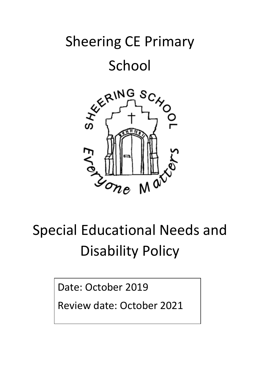# Sheering CE Primary

### School



## Special Educational Needs and Disability Policy

Date: October 2019

Review date: October 2021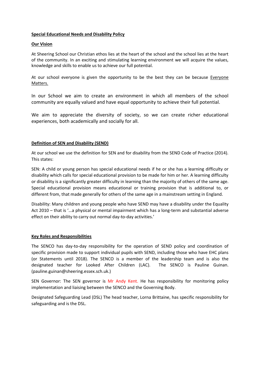#### **Special Educational Needs and Disability Policy**

#### **Our Vision**

At Sheering School our Christian ethos lies at the heart of the school and the school lies at the heart of the community. In an exciting and stimulating learning environment we will acquire the values, knowledge and skills to enable us to achieve our full potential.

At our school everyone is given the opportunity to be the best they can be because Everyone Matters.

In our School we aim to create an environment in which all members of the school community are equally valued and have equal opportunity to achieve their full potential.

We aim to appreciate the diversity of society, so we can create richer educational experiences, both academically and socially for all.

#### **Definition of SEN and Disability (SEND)**

At our school we use the definition for SEN and for disability from the SEND Code of Practice (2014). This states:

SEN: A child or young person has special educational needs if he or she has a learning difficulty or disability which calls for special educational provision to be made for him or her. A learning difficulty or disability is a significantly greater difficulty in learning than the majority of others of the same age. Special educational provision means educational or training provision that is additional to, or different from, that made generally for others of the same age in a mainstream setting in England.

Disability: Many children and young people who have SEND may have a disability under the Equality Act 2010 – that is '…a physical or mental impairment which has a long-term and substantial adverse effect on their ability to carry out normal day-to-day activities.'

#### **Key Roles and Responsibilities**

The SENCO has day-to-day responsibility for the operation of SEND policy and coordination of specific provision made to support individual pupils with SEND, including those who have EHC plans (or Statements until 2018). The SENCO is a member of the leadership team and is also the designated teacher for Looked After Children (LAC). The SENCO is Pauline Guinan. (pauline.guinan@sheering.essex.sch.uk.)

SEN Governor: The SEN governor is Mr Andy Kent. He has responsibility for monitoring policy implementation and liaising between the SENCO and the Governing Body.

Designated Safeguarding Lead (DSL) The head teacher, Lorna Brittaine, has specific responsibility for safeguarding and is the DSL.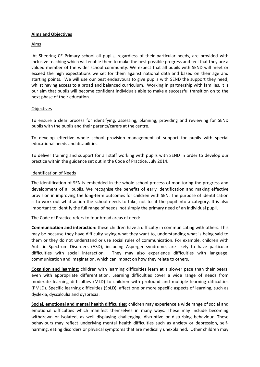#### **Aims and Objectives**

#### Aims

At Sheering CE Primary school all pupils, regardless of their particular needs, are provided with inclusive teaching which will enable them to make the best possible progress and feel that they are a valued member of the wider school community. We expect that all pupils with SEND will meet or exceed the high expectations we set for them against national data and based on their age and starting points. We will use our best endeavours to give pupils with SEND the support they need, whilst having access to a broad and balanced curriculum. Working in partnership with families, it is our aim that pupils will become confident individuals able to make a successful transition on to the next phase of their education.

#### **Objectives**

To ensure a clear process for identifying, assessing, planning, providing and reviewing for SEND pupils with the pupils and their parents/carers at the centre.

To develop effective whole school provision management of support for pupils with special educational needs and disabilities.

To deliver training and support for all staff working with pupils with SEND in order to develop our practice within the guidance set out in the Code of Practice, July 2014.

#### Identification of Needs

The identification of SEN is embedded in the whole school process of monitoring the progress and development of all pupils. We recognise the benefits of early identification and making effective provision in improving the long-term outcomes for children with SEN. The purpose of identification is to work out what action the school needs to take, not to fit the pupil into a category. It is also important to identify the full range of needs, not simply the primary need of an individual pupil.

The Code of Practice refers to four broad areas of need:

**Communication and interaction:** these children have a difficulty in communicating with others. This may be because they have difficulty saying what they want to, understanding what is being said to them or they do not understand or use social rules of communication. For example, children with Autistic Spectrum Disorders (ASD), including Asperger syndrome, are likely to have particular difficulties with social interaction. They may also experience difficulties with language, communication and imagination, which can impact on how they relate to others.

**Cognition and learning**: children with learning difficulties learn at a slower pace than their peers, even with appropriate differentiation. Learning difficulties cover a wide range of needs from moderate learning difficulties (MLD) to children with profound and multiple learning difficulties (PMLD). Specific learning difficulties (SpLD), affect one or more specific aspects of learning, such as dyslexia, dyscalculia and dyspraxia.

**Social, emotional and mental health difficulties**: children may experience a wide range of social and emotional difficulties which manifest themselves in many ways. These may include becoming withdrawn or isolated, as well displaying challenging, disruptive or disturbing behaviour. These behaviours may reflect underlying mental health difficulties such as anxiety or depression, selfharming, eating disorders or physical symptoms that are medically unexplained. Other children may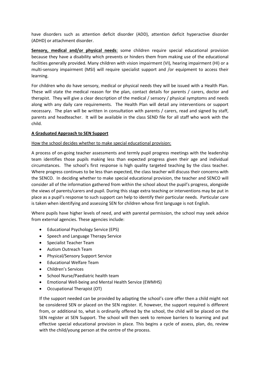have disorders such as attention deficit disorder (ADD), attention deficit hyperactive disorder (ADHD) or attachment disorder.

**Sensory, medical and/or physical needs**: some children require special educational provision because they have a disability which prevents or hinders them from making use of the educational facilities generally provided. Many children with vision impairment (VI), hearing impairment (HI) or a multi-sensory impairment (MSI) will require specialist support and /or equipment to access their learning.

For children who do have sensory, medical or physical needs they will be issued with a Health Plan. These will state the medical reason for the plan, contact details for parents / carers, doctor and therapist. They will give a clear description of the medical / sensory / physical symptoms and needs along with any daily care requirements. The Health Plan will detail any interventions or support necessary. The plan will be written in consultation with parents / carers, read and signed by staff, parents and headteacher. It will be available in the class SEND file for all staff who work with the child.

#### **A Graduated Approach to SEN Support**

#### How the school decides whether to make special educational provision:

A process of on-going teacher assessments and termly pupil progress meetings with the leadership team identifies those pupils making less than expected progress given their age and individual circumstances. The school's first response is high quality targeted teaching by the class teacher. Where progress continues to be less than expected, the class teacher will discuss their concerns with the SENCO. In deciding whether to make special educational provision, the teacher and SENCO will consider all of the information gathered from within the school about the pupil's progress, alongside the views of parents/carers and pupil. During this stage extra teaching or interventions may be put in place as a pupil's response to such support can help to identify their particular needs. Particular care is taken when identifying and assessing SEN for children whose first language is not English.

Where pupils have higher levels of need, and with parental permission, the school may seek advice from external agencies. These agencies include:

- Educational Psychology Service (EPS)
- Speech and Language Therapy Service
- Specialist Teacher Team
- Autism Outreach Team
- Physical/Sensory Support Service
- Educational Welfare Team
- Children's Services
- School Nurse/Paediatric health team
- Emotional Well-being and Mental Health Service (EWMHS)
- Occupational Therapist (OT)

If the support needed can be provided by adapting the school's core offer then a child might not be considered SEN or placed on the SEN register. If, however, the support required is different from, or additional to, what is ordinarily offered by the school, the child will be placed on the SEN register at SEN Support. The school will then seek to remove barriers to learning and put effective special educational provision in place. This begins a cycle of assess, plan, do, review with the child/young person at the centre of the process.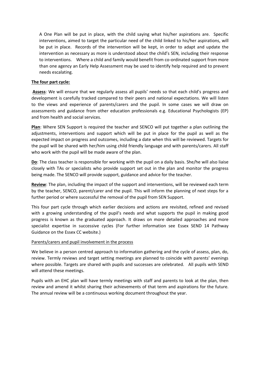A One Plan will be put in place, with the child saying what his/her aspirations are. Specific interventions, aimed to target the particular need of the child linked to his/her aspirations, will be put in place. Records of the intervention will be kept, in order to adapt and update the intervention as necessary as more is understood about the child's SEN, including their response to interventions. Where a child and family would benefit from co-ordinated support from more than one agency an Early Help Assessment may be used to identify help required and to prevent needs escalating.

#### **The four part cycle:**

**Assess**: We will ensure that we regularly assess all pupils' needs so that each child's progress and development is carefully tracked compared to their peers and national expectations. We will listen to the views and experience of parents/carers and the pupil. In some cases we will draw on assessments and guidance from other education professionals e.g. Educational Psychologists (EP) and from health and social services.

**Plan**: Where SEN Support is required the teacher and SENCO will put together a plan outlining the adjustments, interventions and support which will be put in place for the pupil as well as the expected impact on progress and outcomes, including a date when this will be reviewed. Targets for the pupil will be shared with her/him using child friendly language and with parents/carers. All staff who work with the pupil will be made aware of the plan.

**Do**: The class teacher is responsible for working with the pupil on a daily basis. She/he will also liaise closely with TAs or specialists who provide support set out in the plan and monitor the progress being made. The SENCO will provide support, guidance and advice for the teacher.

**Review**: The plan, including the impact of the support and interventions, will be reviewed each term by the teacher, SENCO, parent/carer and the pupil. This will inform the planning of next steps for a further period or where successful the removal of the pupil from SEN Support.

This four part cycle through which earlier decisions and actions are revisited, refined and revised with a growing understanding of the pupil's needs and what supports the pupil in making good progress is known as the graduated approach. It draws on more detailed approaches and more specialist expertise in successive cycles (For further information see Essex SEND 14 Pathway Guidance on the Essex CC website.)

#### Parents/carers and pupil involvement in the process

We believe in a person centred approach to information gathering and the cycle of assess, plan, do, review. Termly reviews and target setting meetings are planned to coincide with parents' evenings where possible. Targets are shared with pupils and successes are celebrated. All pupils with SEND will attend these meetings.

Pupils with an EHC plan will have termly meetings with staff and parents to look at the plan, then review and amend it whilst sharing their achievements of that term and aspirations for the future. The annual review will be a continuous working document throughout the year.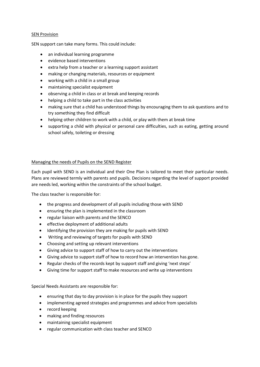#### SEN Provision

SEN support can take many forms. This could include:

- an individual learning programme
- evidence based interventions
- extra help from a teacher or a learning support assistant
- making or changing materials, resources or equipment
- working with a child in a small group
- maintaining specialist equipment
- observing a child in class or at break and keeping records
- helping a child to take part in the class activities
- making sure that a child has understood things by encouraging them to ask questions and to try something they find difficult
- helping other children to work with a child, or play with them at break time
- supporting a child with physical or personal care difficulties, such as eating, getting around school safely, toileting or dressing

#### Managing the needs of Pupils on the SEND Register

Each pupil with SEND is an individual and their One Plan is tailored to meet their particular needs. Plans are reviewed termly with parents and pupils. Decisions regarding the level of support provided are needs led, working within the constraints of the school budget.

The class teacher is responsible for:

- the progress and development of all pupils including those with SEND
- ensuring the plan is implemented in the classroom
- regular liaison with parents and the SENCO
- effective deployment of additional adults
- Identifying the provision they are making for pupils with SEND
- Writing and reviewing of targets for pupils with SEND
- Choosing and setting up relevant interventions
- Giving advice to support staff of how to carry out the interventions
- Giving advice to support staff of how to record how an intervention has gone.
- Regular checks of the records kept by support staff and giving 'next steps'
- Giving time for support staff to make resources and write up interventions

Special Needs Assistants are responsible for:

- ensuring that day to day provision is in place for the pupils they support
- implementing agreed strategies and programmes and advice from specialists
- record keeping
- making and finding resources
- maintaining specialist equipment
- regular communication with class teacher and SENCO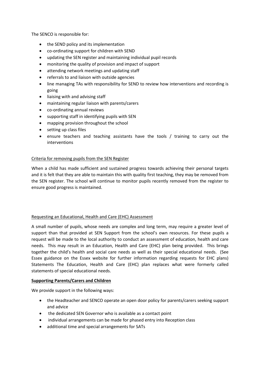The SENCO is responsible for:

- the SEND policy and its implementation
- co-ordinating support for children with SEND
- updating the SEN register and maintaining individual pupil records
- monitoring the quality of provision and impact of support
- attending network meetings and updating staff
- referrals to and liaison with outside agencies
- line managing TAs with responsibility for SEND to review how interventions and recording is going
- liaising with and advising staff
- maintaining regular liaison with parents/carers
- co-ordinating annual reviews
- supporting staff in identifying pupils with SEN
- mapping provision throughout the school
- setting up class files
- ensure teachers and teaching assistants have the tools / training to carry out the interventions

#### Criteria for removing pupils from the SEN Register

When a child has made sufficient and sustained progress towards achieving their personal targets and it is felt that they are able to maintain this with quality first teaching, they may be removed from the SEN register. The school will continue to monitor pupils recently removed from the register to ensure good progress is maintained.

#### Requesting an Educational, Health and Care (EHC) Assessment

A small number of pupils, whose needs are complex and long term, may require a greater level of support than that provided at SEN Support from the school's own resources. For these pupils a request will be made to the local authority to conduct an assessment of education, health and care needs. This may result in an Education, Health and Care (EHC) plan being provided. This brings together the child's health and social care needs as well as their special educational needs. (See Essex guidance on the Essex website for further information regarding requests for EHC plans) Statements The Education, Health and Care (EHC) plan replaces what were formerly called statements of special educational needs.

#### **Supporting Parents/Carers and Children**

We provide support in the following ways:

- the Headteacher and SENCO operate an open door policy for parents/carers seeking support and advice
- the dedicated SEN Governor who is available as a contact point
- individual arrangements can be made for phased entry into Reception class
- additional time and special arrangements for SATs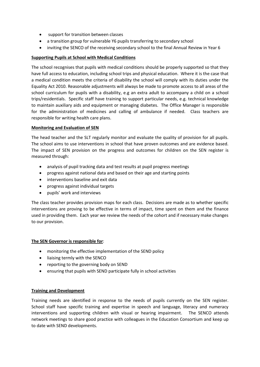- support for transition between classes
- a transition group for vulnerable Y6 pupils transferring to secondary school
- inviting the SENCO of the receiving secondary school to the final Annual Review in Year 6

#### **Supporting Pupils at School with Medical Conditions**

The school recognises that pupils with medical conditions should be properly supported so that they have full access to education, including school trips and physical education. Where it is the case that a medical condition meets the criteria of disability the school will comply with its duties under the Equality Act 2010. Reasonable adjustments will always be made to promote access to all areas of the school curriculum for pupils with a disability, e.g an extra adult to accompany a child on a school trips/residentials. Specific staff have training to support particular needs, e.g. technical knowledge to maintain auxiliary aids and equipment or managing diabetes. The Office Manager is responsible for the administration of medicines and calling of ambulance if needed. Class teachers are responsible for writing health care plans.

#### **Monitoring and Evaluation of SEN**

The head teacher and the SLT regularly monitor and evaluate the quality of provision for all pupils. The school aims to use interventions in school that have proven outcomes and are evidence based. The impact of SEN provision on the progress and outcomes for children on the SEN register is measured through:

- analysis of pupil tracking data and test results at pupil progress meetings
- progress against national data and based on their age and starting points
- interventions baseline and exit data
- progress against individual targets
- pupils' work and interviews

The class teacher provides provision maps for each class. Decisions are made as to whether specific interventions are proving to be effective in terms of impact, time spent on them and the finance used in providing them. Each year we review the needs of the cohort and if necessary make changes to our provision.

#### **The SEN Governor is responsible for**:

- monitoring the effective implementation of the SEND policy
- liaising termly with the SENCO
- reporting to the governing body on SEND
- ensuring that pupils with SEND participate fully in school activities

#### **Training and Development**

Training needs are identified in response to the needs of pupils currently on the SEN register. School staff have specific training and expertise in speech and language, literacy and numeracy interventions and supporting children with visual or hearing impairment. The SENCO attends network meetings to share good practice with colleagues in the Education Consortium and keep up to date with SEND developments.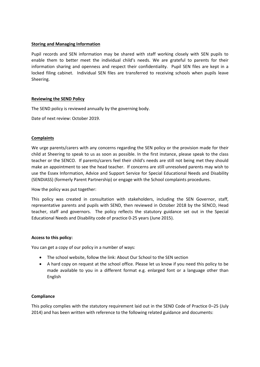#### **Storing and Managing Information**

Pupil records and SEN information may be shared with staff working closely with SEN pupils to enable them to better meet the individual child's needs. We are grateful to parents for their information sharing and openness and respect their confidentiality. Pupil SEN files are kept in a locked filing cabinet. Individual SEN files are transferred to receiving schools when pupils leave Sheering.

#### **Reviewing the SEND Policy**

The SEND policy is reviewed annually by the governing body.

Date of next review: October 2019.

#### **Complaints**

We urge parents/carers with any concerns regarding the SEN policy or the provision made for their child at Sheering to speak to us as soon as possible. In the first instance, please speak to the class teacher or the SENCO. If parents/carers feel their child's needs are still not being met they should make an appointment to see the head teacher. If concerns are still unresolved parents may wish to use the Essex Information, Advice and Support Service for Special Educational Needs and Disability (SENDIASS) (formerly Parent Partnership) or engage with the School complaints procedures.

How the policy was put together:

This policy was created in consultation with stakeholders, including the SEN Governor, staff, representative parents and pupils with SEND, then reviewed in October 2018 by the SENCO, Head teacher, staff and governors. The policy reflects the statutory guidance set out in the Special Educational Needs and Disability code of practice 0-25 years (June 2015).

#### **Access to this policy:**

You can get a copy of our policy in a number of ways:

- The school website, follow the link: About Our School to the SEN section
- A hard copy on request at the school office. Please let us know if you need this policy to be made available to you in a different format e.g. enlarged font or a language other than English

#### **Compliance**

This policy complies with the statutory requirement laid out in the SEND Code of Practice 0–25 (July 2014) and has been written with reference to the following related guidance and documents: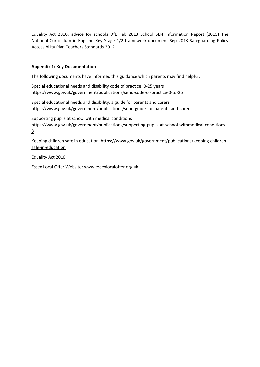Equality Act 2010: advice for schools DfE Feb 2013 School SEN Information Report (2015) The National Curriculum in England Key Stage 1/2 framework document Sep 2013 Safeguarding Policy Accessibility Plan Teachers Standards 2012

#### **Appendix 1: Key Documentation**

The following documents have informed this guidance which parents may find helpful:

Special educational needs and disability code of practice: 0-25 years <https://www.gov.uk/government/publications/send-code-of-practice-0-to-25>

Special educational needs and disability: a guide for parents and carers <https://www.gov.uk/government/publications/send-guide-for-parents-and-carers>

Supporting pupils at school with medical conditions [https://www.gov.uk/government/publications/supporting-pupils-at-school-withmedical-conditions--](https://www.gov.uk/government/publications/supporting-pupils-at-school-withmedical-conditions--3) [3](https://www.gov.uk/government/publications/supporting-pupils-at-school-withmedical-conditions--3)

Keeping children safe in education [https://www.gov.uk/government/publications/keeping-children](https://www.gov.uk/government/publications/keeping-children-safe-in-education)[safe-in-education](https://www.gov.uk/government/publications/keeping-children-safe-in-education)

Equality Act 2010

Essex Local Offer Website: [www.essexlocaloffer.org.uk.](http://www.essexlocaloffer.org.uk/)